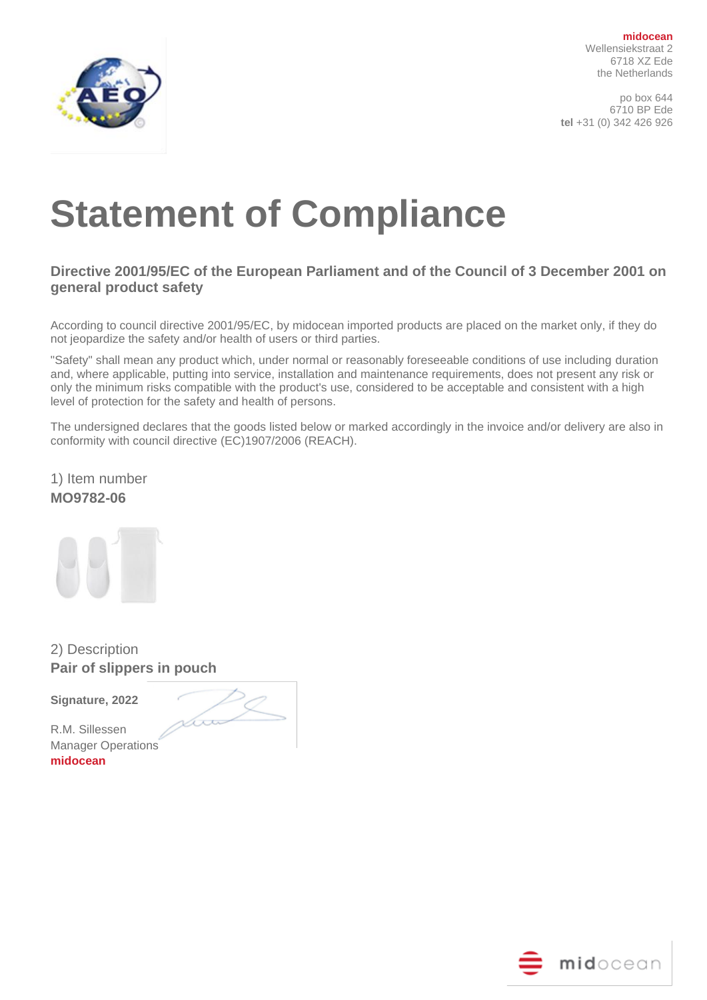

**midocean** Wellensiekstraat 2 6718 XZ Ede the Netherlands

po box 644 6710 BP Ede **tel** +31 (0) 342 426 926

## **Statement of Compliance**

## **Directive 2001/95/EC of the European Parliament and of the Council of 3 December 2001 on general product safety**

According to council directive 2001/95/EC, by midocean imported products are placed on the market only, if they do not jeopardize the safety and/or health of users or third parties.

"Safety" shall mean any product which, under normal or reasonably foreseeable conditions of use including duration and, where applicable, putting into service, installation and maintenance requirements, does not present any risk or only the minimum risks compatible with the product's use, considered to be acceptable and consistent with a high level of protection for the safety and health of persons.

The undersigned declares that the goods listed below or marked accordingly in the invoice and/or delivery are also in conformity with council directive (EC)1907/2006 (REACH).

1) Item number **MO9782-06**

2) Description **Pair of slippers in pouch**

**Signature, 2022** 

am

R.M. Sillessen Manager Operations **midocean**